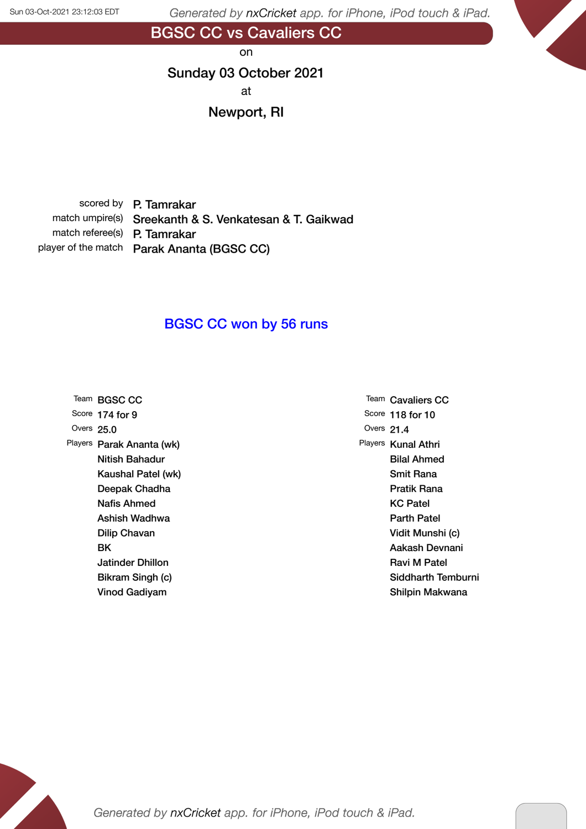BGSC CC vs Cavaliers CC

on

#### Sunday 03 October 2021

at

#### Newport, RI

scored by P. Tamrakar match umpire(s) Sreekanth & S. Venkatesan & T. Gaikwad match referee(s) P. Tamrakar player of the match Parak Ananta (BGSC CC)

### BGSC CC won by 56 runs

|              | Team BGSC CC              |
|--------------|---------------------------|
|              | Score 174 for 9           |
| Overs $25.0$ |                           |
|              | Players Parak Ananta (wk) |
|              | Nitish Bahadur            |
|              | Kaushal Patel (wk)        |
|              | Deepak Chadha             |
|              | Nafis Ahmed               |
|              | Ashish Wadhwa             |
|              | Dilip Chavan              |
|              | ВK                        |
|              | Jatinder Dhillon          |
|              | Bikram Singh (c)          |
|              | Vinod Gadiyam             |

Team Cavaliers CC Score 118 for 10 Overs 21.4 Players Kunal Athri Bilal Ahmed Smit Rana Pratik Rana KC Patel Parth Patel Vidit Munshi (c) Aakash Devnani Ravi M Patel Siddharth Temburni Shilpin Makwana

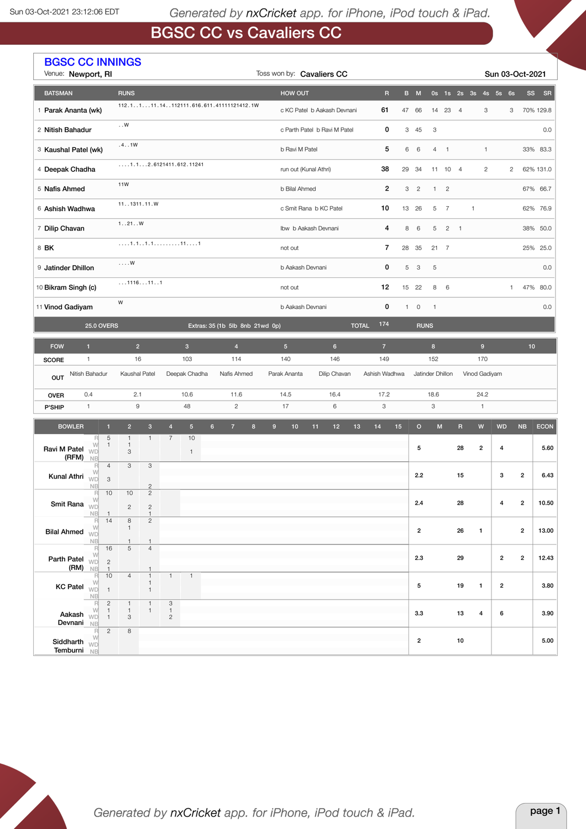r.

Generated by nxCricket app. for iPhone, iPod touch & iPad.

# BGSC CC vs Cavaliers CC

|                                                      | <b>BGSC CC INNINGS</b><br>Venue: Newport, RI                                         |                                                |                                   |                                              |                                                         |                         |                | Toss won by: Cavaliers CC                |                            |                                      |                                               |     |                |              |                |                |                                   | Sun 03-Oct-2021  |                |     |                |                      |                 |             |
|------------------------------------------------------|--------------------------------------------------------------------------------------|------------------------------------------------|-----------------------------------|----------------------------------------------|---------------------------------------------------------|-------------------------|----------------|------------------------------------------|----------------------------|--------------------------------------|-----------------------------------------------|-----|----------------|--------------|----------------|----------------|-----------------------------------|------------------|----------------|-----|----------------|----------------------|-----------------|-------------|
| <b>BATSMAN</b>                                       |                                                                                      |                                                | <b>RUNS</b>                       |                                              |                                                         |                         |                |                                          |                            |                                      | HOW OUT                                       |     |                |              | $\overline{R}$ |                | B M                               |                  |                |     |                | 0s 1s 2s 3s 4s 5s 6s | <b>SS</b>       | SR          |
| 1 Parak Ananta (wk)                                  |                                                                                      |                                                |                                   |                                              |                                                         |                         |                | 112.1111.14112111.616.611.41111121412.1W |                            |                                      | 61<br>c KC Patel b Aakash Devnani             |     |                |              |                |                | 47 66                             | 14               | 23 4           |     | 3              |                      | 3               | 70% 129.8   |
| 2 Nitish Bahadur                                     |                                                                                      |                                                | $\ldots$ W                        |                                              |                                                         |                         |                |                                          |                            |                                      | 0<br>c Parth Patel b Ravi M Patel             |     |                |              |                | 3 45           | 3                                 |                  |                |     |                |                      | 0.0             |             |
| 3 Kaushal Patel (wk)                                 |                                                                                      |                                                | .4. .1W                           |                                              |                                                         |                         |                |                                          |                            |                                      | b Ravi M Patel                                |     |                |              | 5              | 6              | 6                                 |                  | $4 \quad 1$    |     | $\mathbf{1}$   |                      | 33%             | 83.3        |
| 4 Deepak Chadha                                      |                                                                                      |                                                | $\ldots$ .1.12.6121411.612.11241  |                                              |                                                         |                         |                |                                          |                            |                                      | 38<br>run out (Kunal Athri)<br>29             |     |                |              |                |                | 34                                |                  | 11 10 4        |     | $\overline{c}$ | $\overline{c}$       |                 | 62% 131.0   |
| 5 Nafis Ahmed                                        |                                                                                      |                                                | 11W                               |                                              |                                                         |                         |                |                                          |                            | $\overline{2}$<br>b Bilal Ahmed<br>3 |                                               |     |                |              |                | $\overline{c}$ | $\mathbf{1}$                      | $\overline{c}$   |                |     |                |                      | 67% 66.7        |             |
| 6 Ashish Wadhwa                                      |                                                                                      |                                                | 11. .1311.11.W                    |                                              |                                                         |                         |                |                                          |                            |                                      | 10<br>13 26<br>c Smit Rana b KC Patel         |     |                |              |                |                |                                   | 5                | $\overline{7}$ |     | $\mathbf{1}$   |                      | 62%             | 76.9        |
| 7 Dilip Chavan                                       |                                                                                      |                                                | 1. .21. .W                        |                                              |                                                         |                         |                |                                          |                            |                                      | 4<br>Ibw b Aakash Devnani<br>8                |     |                |              |                |                |                                   | 5                | $2 \quad 1$    |     |                |                      |                 | 38% 50.0    |
| 8 BK                                                 |                                                                                      |                                                |                                   |                                              |                                                         |                         |                |                                          |                            |                                      | 7<br>28 35<br>not out                         |     |                |              |                |                |                                   |                  | $21 \quad 7$   |     |                |                      | 25%             | 25.0        |
| 9 Jatinder Dhillon                                   |                                                                                      | . ${\sf W}$                                    |                                   |                                              |                                                         |                         |                |                                          | 0<br>b Aakash Devnani<br>5 |                                      |                                               |     |                |              |                | 5              |                                   |                  |                |     |                | 0.0                  |                 |             |
|                                                      | 1116111<br>10 Bikram Singh (c)                                                       |                                                |                                   |                                              |                                                         |                         |                | 12<br>not out                            |                            |                                      |                                               |     |                | 15 22        | 8              | 6              |                                   |                  | $\mathbf{1}$   | 47% | 80.0           |                      |                 |             |
| W<br>11 Vinod Gadiyam                                |                                                                                      |                                                |                                   |                                              |                                                         |                         |                | 0<br>b Aakash Devnani<br>$\mathbf{1}$    |                            |                                      |                                               |     |                | $\circ$      | $\mathbf{1}$   |                |                                   |                  |                |     | 0.0            |                      |                 |             |
| <b>25.0 OVERS</b><br>Extras: 35 (1b 5lb 8nb 21wd 0p) |                                                                                      |                                                |                                   |                                              |                                                         |                         |                |                                          |                            |                                      |                                               |     |                | <b>TOTAL</b> | 174            |                | <b>RUNS</b>                       |                  |                |     |                |                      |                 |             |
| <b>FOW</b>                                           | $\mathbf{1}$                                                                         |                                                | $\overline{2}$                    |                                              |                                                         | $\overline{\mathbf{3}}$ |                | $\overline{4}$                           |                            |                                      | 5 <sup>5</sup>                                |     | $6\phantom{a}$ |              | $\overline{7}$ |                |                                   | $\bf 8$          |                |     | $9\,$          |                      | 10 <sup>°</sup> |             |
| <b>SCORE</b>                                         | $\mathbf{1}$                                                                         |                                                | 16                                |                                              |                                                         | 103                     |                | 114                                      |                            |                                      | 140                                           | 146 |                | 149          |                | 152            |                                   |                  |                | 170 |                |                      |                 |             |
| OUT                                                  | Nitish Bahadur                                                                       |                                                | Kaushal Patel                     |                                              |                                                         | Deepak Chadha           |                | Nafis Ahmed                              |                            |                                      | Parak Ananta<br>Dilip Chavan<br>Ashish Wadhwa |     |                |              |                |                |                                   | Jatinder Dhillon |                |     | Vinod Gadiyam  |                      |                 |             |
| <b>OVER</b>                                          | 0.4<br>$\mathbf{1}$                                                                  |                                                | 2.1<br>9                          |                                              |                                                         | 10.6                    |                | 11.6<br>$\overline{c}$                   |                            |                                      | 17.2<br>14.5<br>16.4<br>17<br>6<br>3          |     |                |              |                |                | 18.6<br>24.2<br>3<br>$\mathbf{1}$ |                  |                |     |                |                      |                 |             |
| P'SHIP                                               |                                                                                      |                                                |                                   |                                              |                                                         | 48                      |                |                                          |                            |                                      |                                               |     |                |              |                |                |                                   |                  |                |     |                |                      |                 |             |
| <b>BOWLER</b>                                        | R                                                                                    | $\blacksquare$<br>$\overline{5}$               | $\overline{2}$<br>$\mathbf{1}$    | 3 <sup>1</sup><br>$\mathbf{1}$               | $\overline{4}$<br>$\overline{7}$                        | $5\phantom{.0}$<br>10   | 6 <sup>1</sup> | $\overline{7}$                           | $\bf{8}$                   | $9\,$                                | $10$                                          | 11  | 12             | 13           | 14             | 15             | $\mathsf{o}$                      | ${\sf M}$        |                | R   | W              | <b>WD</b>            | NB              | <b>ECON</b> |
| Ravi M Patel                                         | W<br><b>WD</b><br>(RFM)<br><b>NB</b>                                                 | $\mathbf{1}$                                   | $\mathbf{1}$<br>3                 |                                              |                                                         | $\mathbf{1}$            |                |                                          |                            |                                      |                                               |     |                |              |                |                | 5                                 |                  |                | 28  | $\overline{2}$ | 4                    |                 | 5.60        |
| Kunal Athri                                          | R<br>W<br><b>WD</b>                                                                  | $\overline{4}$<br>3                            | 3                                 | 3                                            |                                                         |                         |                |                                          |                            |                                      |                                               |     |                |              |                |                | 2.2                               |                  |                | 15  |                | 3                    | $\overline{2}$  | 6.43        |
|                                                      | <b>NB</b><br>R<br>W<br>Smit Rana $\overline{w}$                                      | 10                                             | 10                                | $\overline{c}$<br>$\overline{c}$             |                                                         |                         |                |                                          |                            |                                      |                                               |     |                |              |                |                | 2.4                               |                  |                | 28  |                | $\pmb{4}$            | $\overline{2}$  | 10.50       |
|                                                      | <b>NB</b><br>R                                                                       | 14                                             | $\mathbf{2}$<br>8                 | $\sqrt{2}$<br>$\mathbf{1}$<br>$\overline{2}$ |                                                         |                         |                |                                          |                            |                                      |                                               |     |                |              |                |                |                                   |                  |                |     |                |                      |                 |             |
| <b>Bilal Ahmed</b> WD                                | W<br><b>NB</b>                                                                       |                                                | $\mathbf{1}$<br>1                 | $\mathbf{1}$                                 |                                                         |                         |                |                                          |                            |                                      |                                               |     |                |              |                |                | $\overline{2}$                    |                  |                | 26  | $\mathbf{1}$   |                      | $\overline{2}$  | 13.00       |
|                                                      | $\begin{array}{c}\nR \\ W\n\end{array}$<br>Parth Patel $\sqrt{v}$                    | 16<br>$\overline{c}$                           | 5                                 | $\overline{4}$                               |                                                         |                         |                |                                          |                            |                                      |                                               |     |                |              |                |                | 2.3                               |                  |                | 29  |                | $\overline{2}$       | $\overline{2}$  | 12.43       |
|                                                      | $(RM)$ NB<br>R                                                                       | $\mathbf{1}$<br>10                             | $\overline{4}$                    | $\mathbf{1}$                                 | $\mathbf{1}$                                            | $\mathbf{1}$            |                |                                          |                            |                                      |                                               |     |                |              |                |                |                                   |                  |                |     |                |                      |                 |             |
|                                                      | W<br>KC Patel $\sqrt{v}$<br><b>NB</b>                                                | $\overline{1}$                                 |                                   | $\mathbf{1}$<br>$\overline{1}$               |                                                         |                         |                |                                          |                            |                                      |                                               |     |                |              |                |                | 5                                 |                  |                | 19  | $\mathbf{1}$   | $\overline{2}$       |                 | 3.80        |
|                                                      | R<br>W<br>Aakash $W\Box$<br>Devnani NB                                               | $\mathbf{2}$<br>$\mathbf{1}$<br>$\overline{1}$ | $\mathbf{1}$<br>$\mathbf{1}$<br>3 | $\overline{1}$<br>$\mathbf{1}$               | $\ensuremath{\mathsf{3}}$<br>$\mathbf{1}$<br>$\sqrt{2}$ |                         |                |                                          |                            |                                      |                                               |     |                |              |                |                | 3.3                               |                  |                | 13  | 4              | 6                    |                 | 3.90        |
|                                                      | $\begin{array}{c}\nR \\ W\n\end{array}$<br>Siddharth $W_{\text{min}}$<br>Temburni NB | $\overline{2}$                                 | 8                                 |                                              |                                                         |                         |                |                                          |                            |                                      |                                               |     |                |              |                |                | $\overline{2}$                    |                  |                | 10  |                |                      |                 | 5.00        |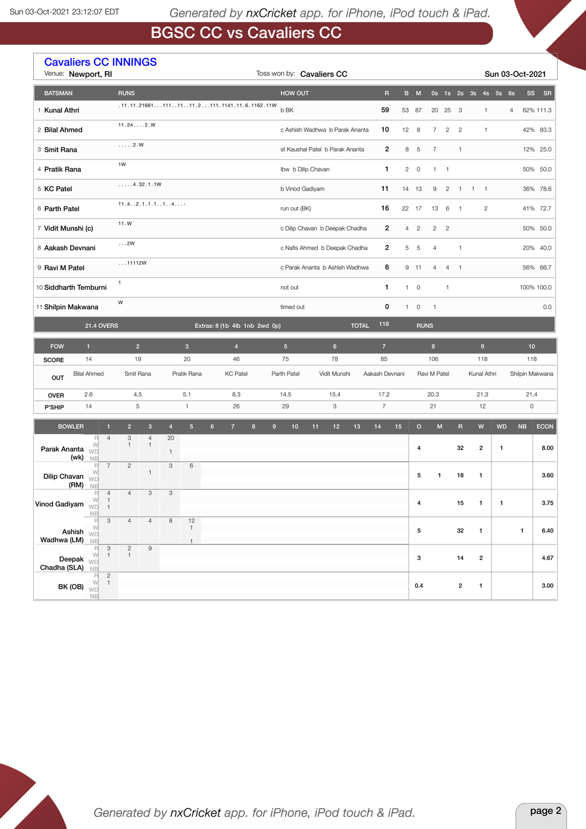# BGSC CC vs Cavaliers CC

|                          | <b>Cavaliers CC INNINGS</b><br>Venue: Newport, RI        |                                 |                              |                                |                |                   |                |                       |                                               |                        | Toss won by: Cavaliers CC       |              |                         |              |                         |                     |                |                         |                    |                  | Sun 03-Oct-2021      |                        |             |  |  |  |  |  |  |  |  |  |  |  |  |  |  |  |  |  |  |                     |  |           |  |            |                                   |  |                        |  |  |            |  |  |  |    |  |                 |  |
|--------------------------|----------------------------------------------------------|---------------------------------|------------------------------|--------------------------------|----------------|-------------------|----------------|-----------------------|-----------------------------------------------|------------------------|---------------------------------|--------------|-------------------------|--------------|-------------------------|---------------------|----------------|-------------------------|--------------------|------------------|----------------------|------------------------|-------------|--|--|--|--|--|--|--|--|--|--|--|--|--|--|--|--|--|--|---------------------|--|-----------|--|------------|-----------------------------------|--|------------------------|--|--|------------|--|--|--|----|--|-----------------|--|
| <b>BATSMAN</b>           |                                                          |                                 | <b>RUNS</b>                  |                                |                |                   |                |                       |                                               | <b>HOW OUT</b>         |                                 |              | $\overline{\mathsf{R}}$ |              | B M                     |                     |                |                         |                    |                  | 0s 1s 2s 3s 4s 5s 6s | <b>SS</b>              | SR          |  |  |  |  |  |  |  |  |  |  |  |  |  |  |  |  |  |  |                     |  |           |  |            |                                   |  |                        |  |  |            |  |  |  |    |  |                 |  |
| 1 Kunal Athri            |                                                          |                                 |                              |                                |                |                   |                |                       | $.11.11.216611111111.2111.1141.11.6.1162.11W$ | b BK                   |                                 |              | 59                      |              | 53 87                   | 20                  | 25             | $\overline{\mathbf{3}}$ |                    | $\mathbf{1}$     | 4                    |                        | 62% 111.3   |  |  |  |  |  |  |  |  |  |  |  |  |  |  |  |  |  |  |                     |  |           |  |            |                                   |  |                        |  |  |            |  |  |  |    |  |                 |  |
| 2 Bilal Ahmed            |                                                          |                                 | 11.242.W                     |                                |                |                   |                |                       |                                               |                        | c Ashish Wadhwa b Parak Ananta  |              | 10                      |              | $12 \quad 8$            | $\overline{7}$      | $\overline{c}$ | $\overline{c}$          |                    | $\mathbf{1}$     |                      |                        | 42% 83.3    |  |  |  |  |  |  |  |  |  |  |  |  |  |  |  |  |  |  |                     |  |           |  |            |                                   |  |                        |  |  |            |  |  |  |    |  |                 |  |
| 3 Smit Rana              |                                                          |                                 | $\ldots$ .2.W                |                                |                |                   |                |                       |                                               |                        | st Kaushal Patel b Parak Ananta |              | $\overline{2}$          | 8            | 5                       | $\overline{7}$      |                | $\mathbf{1}$            |                    |                  |                      |                        | 12% 25.0    |  |  |  |  |  |  |  |  |  |  |  |  |  |  |  |  |  |  |                     |  |           |  |            |                                   |  |                        |  |  |            |  |  |  |    |  |                 |  |
| 4 Pratik Rana            |                                                          |                                 | 1W                           |                                |                |                   |                |                       |                                               |                        | Ibw b Dilip Chavan              |              | 1                       | $\mathbf{2}$ | $\overline{0}$          |                     | $1 \quad 1$    |                         |                    |                  |                      |                        | 50% 50.0    |  |  |  |  |  |  |  |  |  |  |  |  |  |  |  |  |  |  |                     |  |           |  |            |                                   |  |                        |  |  |            |  |  |  |    |  |                 |  |
| 5 KC Patel               |                                                          |                                 | , 4.32.1.1W                  |                                |                |                   |                |                       |                                               | b Vinod Gadiyam        |                                 |              | 11                      |              | 14 13                   | 9                   | $\overline{c}$ | $\overline{1}$          | $1 \quad 1$        |                  |                      |                        | 36% 78.6    |  |  |  |  |  |  |  |  |  |  |  |  |  |  |  |  |  |  |                     |  |           |  |            |                                   |  |                        |  |  |            |  |  |  |    |  |                 |  |
| 6 Parth Patel            |                                                          |                                 | 11.42.1.1.114                |                                |                |                   |                |                       |                                               | run out (BK)           |                                 |              | 16                      |              | 22 17                   | 13                  | 6              | $\overline{1}$          |                    | $\overline{2}$   |                      |                        | 41% 72.7    |  |  |  |  |  |  |  |  |  |  |  |  |  |  |  |  |  |  |                     |  |           |  |            |                                   |  |                        |  |  |            |  |  |  |    |  |                 |  |
| 7 Vidit Munshi (c)       |                                                          |                                 | 11.W                         |                                |                |                   |                |                       |                                               |                        | c Dilip Chavan b Deepak Chadha  |              | 2                       |              | 4 2                     | $\overline{2}$      | $\overline{c}$ |                         |                    |                  |                      |                        | 50% 50.0    |  |  |  |  |  |  |  |  |  |  |  |  |  |  |  |  |  |  |                     |  |           |  |            |                                   |  |                        |  |  |            |  |  |  |    |  |                 |  |
| 8 Aakash Devnani         |                                                          |                                 | $\ldots$ 2W                  |                                |                |                   |                |                       |                                               |                        | c Nafis Ahmed b Deepak Chadha   |              | 2                       |              | 5 5                     | $\overline{4}$      |                | $\mathbf{1}$            |                    |                  |                      |                        | 20% 40.0    |  |  |  |  |  |  |  |  |  |  |  |  |  |  |  |  |  |  |                     |  |           |  |            |                                   |  |                        |  |  |            |  |  |  |    |  |                 |  |
| 9 Ravi M Patel           |                                                          |                                 | 11112W                       |                                |                |                   |                |                       |                                               |                        | c Parak Ananta b Ashish Wadhwa  |              | 6                       | 9            | 11                      | 4                   | $\overline{4}$ | $\overline{1}$          |                    |                  |                      |                        | 56% 66.7    |  |  |  |  |  |  |  |  |  |  |  |  |  |  |  |  |  |  |                     |  |           |  |            |                                   |  |                        |  |  |            |  |  |  |    |  |                 |  |
| 10 Siddharth Temburni    |                                                          |                                 | $\mathbf{1}$                 |                                |                |                   |                |                       |                                               | not out                |                                 |              | 1                       |              | $1 \quad 0$             |                     | $\mathbf{1}$   |                         |                    |                  |                      |                        | 100% 100.0  |  |  |  |  |  |  |  |  |  |  |  |  |  |  |  |  |  |  |                     |  |           |  |            |                                   |  |                        |  |  |            |  |  |  |    |  |                 |  |
| 11 Shilpin Makwana       |                                                          |                                 | W                            |                                |                |                   |                |                       |                                               | timed out              |                                 |              | 0                       |              | $1 \quad 0$             | $\overline{1}$      |                |                         |                    |                  |                      |                        | 0.0         |  |  |  |  |  |  |  |  |  |  |  |  |  |  |  |  |  |  |                     |  |           |  |            |                                   |  |                        |  |  |            |  |  |  |    |  |                 |  |
|                          | <b>21.4 OVERS</b><br>Extras: 8 (1b 4lb 1nb 2wd 0p)       |                                 |                              |                                |                |                   |                |                       |                                               |                        |                                 | <b>TOTAL</b> | 118                     |              | <b>RUNS</b>             |                     |                |                         |                    |                  |                      |                        |             |  |  |  |  |  |  |  |  |  |  |  |  |  |  |  |  |  |  |                     |  |           |  |            |                                   |  |                        |  |  |            |  |  |  |    |  |                 |  |
| <b>FOW</b>               | $\mathbf{1}$                                             |                                 | 2 <sup>1</sup>               |                                |                | $\mathbf{3}$      |                | $\overline{4}$        |                                               | $5\phantom{.0}$        | $6\phantom{.}$                  |              | $\overline{7}$          |              |                         | $\bf8$              |                |                         |                    | $\boldsymbol{9}$ |                      | 10                     |             |  |  |  |  |  |  |  |  |  |  |  |  |  |  |  |  |  |  |                     |  |           |  |            |                                   |  |                        |  |  |            |  |  |  |    |  |                 |  |
| <b>SCORE</b>             | 14<br><b>Bilal Ahmed</b>                                 |                                 | 19<br>Smit Rana              |                                |                | 20<br>Pratik Rana |                | 46<br><b>KC Patel</b> |                                               | 75<br>Parth Patel      | 78<br>Vidit Munshi              |              | 85                      |              |                         | 106<br>Ravi M Patel |                |                         | 118<br>Kunal Athri |                  |                      | 118<br>Shilpin Makwana |             |  |  |  |  |  |  |  |  |  |  |  |  |  |  |  |  |  |  |                     |  |           |  |            |                                   |  |                        |  |  |            |  |  |  |    |  |                 |  |
| OUT                      |                                                          |                                 |                              |                                |                |                   |                |                       |                                               |                        | Aakash Devnani                  |              |                         |              |                         |                     |                |                         | 21.3               |                  |                      |                        |             |  |  |  |  |  |  |  |  |  |  |  |  |  |  |  |  |  |  |                     |  |           |  |            |                                   |  |                        |  |  |            |  |  |  |    |  |                 |  |
| <b>OVER</b><br>P'SHIP    | 2.6<br>14                                                |                                 | 4.5                          |                                |                |                   |                |                       |                                               |                        |                                 |              |                         |              |                         |                     | $\,$ 5 $\,$    |                         |                    |                  |                      |                        |             |  |  |  |  |  |  |  |  |  |  |  |  |  |  |  |  |  |  | 5.1<br>$\mathbf{1}$ |  | 8.3<br>26 |  | 14.5<br>29 | 15.4<br>$\ensuremath{\mathsf{3}}$ |  | 17.2<br>$\overline{7}$ |  |  | 20.3<br>21 |  |  |  | 12 |  | 21.4<br>$\circ$ |  |
| <b>BOWLER</b>            |                                                          | $\mathbf{1}$                    | $\overline{2}$               | $\mathbf{3}$                   | $\overline{4}$ | 5 <sup>5</sup>    | 6 <sup>1</sup> | $\overline{7}$        | $\bf 8$                                       | $\boldsymbol{9}$<br>10 | 11<br>12                        | 13           | 14                      | 15           | $\circ$                 | ${\sf M}$           |                | $\mathsf R$             | $\mathsf{W}$       |                  | <b>WD</b>            | NB                     | <b>ECON</b> |  |  |  |  |  |  |  |  |  |  |  |  |  |  |  |  |  |  |                     |  |           |  |            |                                   |  |                        |  |  |            |  |  |  |    |  |                 |  |
|                          | R<br>W                                                   | $\overline{4}$                  | 3<br>1                       | $\overline{4}$<br>$\mathbf{1}$ | 20             |                   |                |                       |                                               |                        |                                 |              |                         |              |                         |                     |                |                         |                    |                  |                      |                        |             |  |  |  |  |  |  |  |  |  |  |  |  |  |  |  |  |  |  |                     |  |           |  |            |                                   |  |                        |  |  |            |  |  |  |    |  |                 |  |
| Parak Ananta WD          | $(wk)$ NB                                                |                                 |                              |                                | $\mathbf{1}$   |                   |                |                       |                                               |                        |                                 |              |                         |              | $\overline{\mathbf{4}}$ |                     |                | 32                      | $\boldsymbol{2}$   |                  | $\mathbf{1}$         |                        | 8.00        |  |  |  |  |  |  |  |  |  |  |  |  |  |  |  |  |  |  |                     |  |           |  |            |                                   |  |                        |  |  |            |  |  |  |    |  |                 |  |
| Dilip Chavan             | R<br>W<br>WD<br>(RM)<br>NB                               | $\overline{7}$                  | $\mathbf{2}$                 | 1                              | 3              | 6                 |                |                       |                                               |                        |                                 |              |                         |              | 5                       | 1                   |                | 18                      | 1                  |                  |                      |                        | 3.60        |  |  |  |  |  |  |  |  |  |  |  |  |  |  |  |  |  |  |                     |  |           |  |            |                                   |  |                        |  |  |            |  |  |  |    |  |                 |  |
| Vinod Gadiyam $\sqrt{2}$ | W                                                        | $\overline{4}$<br>$\frac{1}{1}$ | 4                            | $3 -$                          | 3              |                   |                |                       |                                               |                        |                                 |              |                         |              | $\pmb{4}$               |                     |                | 15                      | $\mathbf{1}$       |                  | $\overline{1}$       |                        | 3.75        |  |  |  |  |  |  |  |  |  |  |  |  |  |  |  |  |  |  |                     |  |           |  |            |                                   |  |                        |  |  |            |  |  |  |    |  |                 |  |
|                          | NB<br>$\mathbb R$                                        | $\overline{3}$                  |                              | $4\quad 4$                     | 8              | 12                |                |                       |                                               |                        |                                 |              |                         |              |                         |                     |                |                         |                    |                  |                      |                        |             |  |  |  |  |  |  |  |  |  |  |  |  |  |  |  |  |  |  |                     |  |           |  |            |                                   |  |                        |  |  |            |  |  |  |    |  |                 |  |
| Wadhwa (LM) NB           | W<br>Ashish $\sqrt[N]{D}$                                |                                 |                              |                                |                | $\mathbf{1}$      |                |                       |                                               |                        |                                 |              |                         |              | 5                       |                     |                | 32                      | $\mathbf{1}$       |                  |                      | $\mathbf{1}$           | 6.40        |  |  |  |  |  |  |  |  |  |  |  |  |  |  |  |  |  |  |                     |  |           |  |            |                                   |  |                        |  |  |            |  |  |  |    |  |                 |  |
| Chadha (SLA) NB          | R.<br>Deepak $\frac{W}{WD}$ <sup>1</sup>                 | $_{\rm 3}$                      | $\mathbf{2}$<br>$\mathbf{1}$ | $\mathsf g$                    |                |                   |                |                       |                                               |                        |                                 |              |                         |              | 3                       |                     |                | 14                      | $\overline{2}$     |                  |                      |                        | 4.67        |  |  |  |  |  |  |  |  |  |  |  |  |  |  |  |  |  |  |                     |  |           |  |            |                                   |  |                        |  |  |            |  |  |  |    |  |                 |  |
|                          | $\mathbb R$<br>BK (OB) $\frac{W}{WD}$ <sup>1</sup><br>NB | $\overline{2}$                  |                              |                                |                |                   |                |                       |                                               |                        |                                 |              |                         |              | 0.4                     |                     |                | $\overline{2}$          | $\mathbf{1}$       |                  |                      |                        | 3.00        |  |  |  |  |  |  |  |  |  |  |  |  |  |  |  |  |  |  |                     |  |           |  |            |                                   |  |                        |  |  |            |  |  |  |    |  |                 |  |

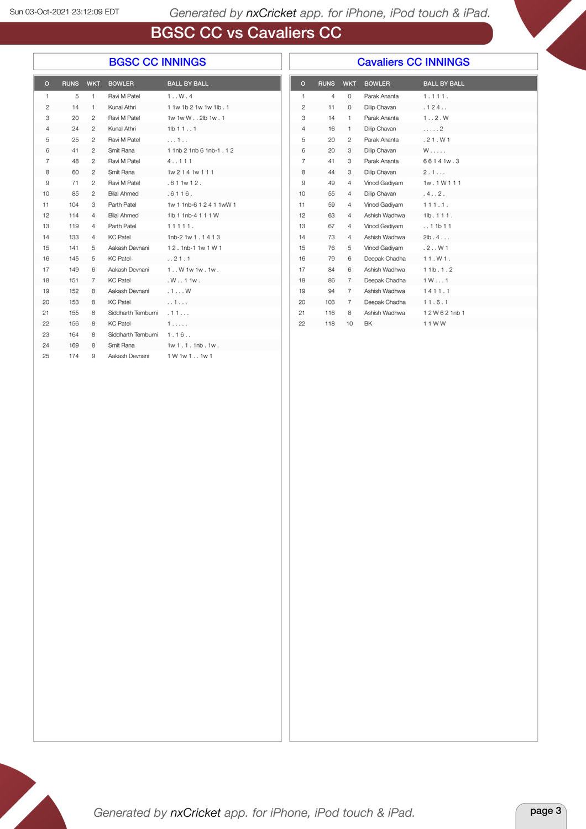# BGSC CC vs Cavaliers CC

#### BGSC CC INNINGS

#### Cavaliers CC INNINGS

| O  | <b>RUNS</b> | <b>WKT</b>     | <b>BOWLER</b>           | <b>BALL BY BALL</b>             |
|----|-------------|----------------|-------------------------|---------------------------------|
| 1  | 5           | 1.             | Ravi M Patel            | 1.000.4                         |
| 2  | 14          | $\mathbf{1}$   | Kunal Athri             | 1 1w 1b 2 1w 1w 1lb . 1         |
| 3  | 20          | $\overline{2}$ | Ravi M Patel            | 1w 1w W 2lb 1w . 1              |
| 4  | 24          | 2              | Kunal Athri             | 11b111                          |
| 5  | 25          | $\mathcal{P}$  | Ravi M Patel            | . 1                             |
| 6  | 41          | 2              | Smit Rana               | 1 1 nb 2 1 nb 6 1 nb - 1 . 1 2  |
| 7  | 48          | $\overline{2}$ | Ravi M Patel            | 4.111                           |
| 8  | 60          | $\overline{2}$ | Smit Rana               | 1w 2 1 4 1w 1 1 1               |
| 9  | 71          | $\overline{2}$ | Ravi M Patel            | .611w12.                        |
| 10 | 85          | $\overline{2}$ | <b>Bilal Ahmed</b>      | .6116.                          |
| 11 | 104         | 3              | Parth Patel             | 1w 1 1nb-6 1 2 4 1 1wW 1        |
| 12 | 114         | $\overline{4}$ | <b>Bilal Ahmed</b>      | 1lb 1 1nb-4 1 1 1 W             |
| 13 | 119         | 4              | Parth Patel             | 11111.                          |
| 14 | 133         | $\overline{4}$ | <b>KC Patel</b>         | 1nb-2 1w 1 $.1413$              |
| 15 | 141         | 5              | Aakash Devnani          | 12.1nb-1.1w 1 W 1               |
| 16 | 145         | 5              | KC Patel                | . . 21.1                        |
| 17 | 149         | 6              |                         | Aakash Devnani 1. W 1w 1w . 1w. |
| 18 | 151         | $\overline{7}$ | <b>KC Patel</b>         | .W. . 11w.                      |
| 19 | 152         | 8              | Aakash Devnani          | .1W                             |
| 20 | 153         | 8              | <b>KC Patel</b>         | 1.11                            |
| 21 | 155         | 8              | Siddharth Temburni      | .11                             |
| 22 | 156         | 8              | KC Patel                | 1.                              |
| 23 | 164         | 8              | Siddharth Temburni 1.16 |                                 |
| 24 | 169         | 8              | Smit Rana               | 1w1.1.1nb.1w.                   |
| 25 | 174         | 9              | Aakash Devnani          | 1 W 1w 1 1w 1                   |

| $\Omega$       | <b>RUNS</b> | <b>WKT</b>     | <b>BOWLER</b> | <b>BALL BY BALL</b> |  |
|----------------|-------------|----------------|---------------|---------------------|--|
| $\mathbf{1}$   | 4           | $\circ$        | Parak Ananta  | 1.111.              |  |
| $\overline{c}$ | 11          | $\Omega$       | Dilip Chavan  | .124                |  |
| 3              | 14          | $\mathbf{1}$   | Parak Ananta  | 1.7.2. W            |  |
| $\overline{4}$ | 16          | 1              | Dilip Chavan  | . 2                 |  |
| 5              | 20          | $\overline{c}$ | Parak Ananta  | .21. W1             |  |
| 6              | 20          | 3              | Dilip Chavan  | $W$ .               |  |
| $\overline{7}$ | 41          | 3              | Parak Ananta  | 66141w.3            |  |
| 8              | 44          | 3              | Dilip Chavan  | 2.1                 |  |
| 9              | 49          | $\overline{4}$ | Vinod Gadiyam | 1w.1W111            |  |
| 10             | 55          | $\overline{4}$ | Dilip Chavan  | .4.02.              |  |
| 11             | 59          | $\overline{4}$ | Vinod Gadivam | 111.1.              |  |
| 12             | 63          | 4              | Ashish Wadhwa | 1lb.111.            |  |
| 13             | 67          | $\overline{4}$ | Vinod Gadiyam | . . 11b11           |  |
| 14             | 73          | $\overline{4}$ | Ashish Wadhwa | 2lb.4               |  |
| 15             | 76          | 5              | Vinod Gadiyam | .2.001              |  |
| 16             | 79          | 6              | Deepak Chadha | 11. W1.             |  |
| 17             | 84          | 6              | Ashish Wadhwa | 11lb.1.2            |  |
| 18             | 86          | 7              | Deepak Chadha | 1W1                 |  |
| 19             | 94          | $\overline{7}$ | Ashish Wadhwa | 1411.1              |  |
| 20             | 103         | 7              | Deepak Chadha | 11.6.1              |  |
| 21             | 116         | 8              | Ashish Wadhwa | 12W621nb1           |  |
| 22             | 118         | 10             | <b>BK</b>     | 11WW                |  |

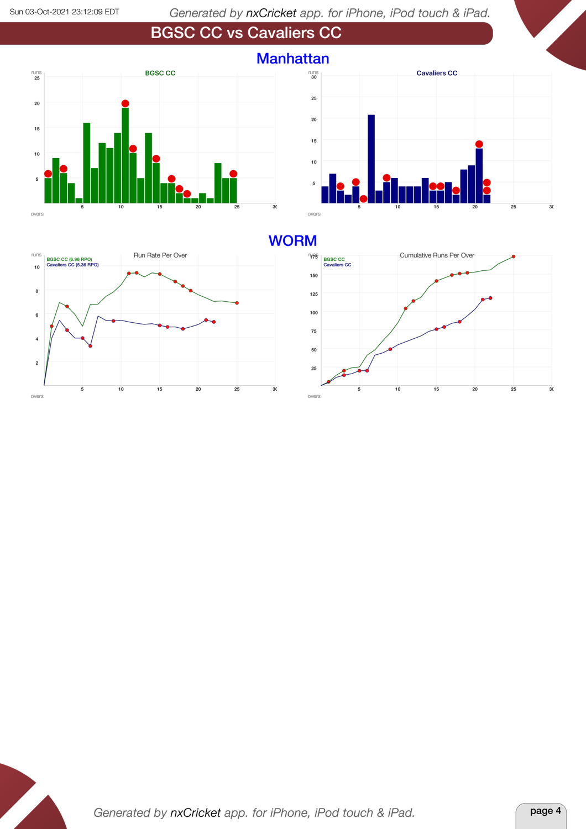





#### **WORM**